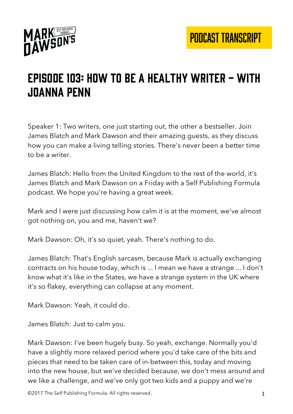

# Episode 103: how to be a healthy writer - with joanna penn

Speaker 1: Two writers, one just starting out, the other a bestseller. Join James Blatch and Mark Dawson and their amazing guests, as they discuss how you can make a living telling stories. There's never been a better time to be a writer.

James Blatch: Hello from the United Kingdom to the rest of the world, it's James Blatch and Mark Dawson on a Friday with a Self Publishing Formula podcast. We hope you're having a great week.

Mark and I were just discussing how calm it is at the moment, we've almost got nothing on, you and me, haven't we?

Mark Dawson: Oh, it's so quiet, yeah. There's nothing to do.

James Blatch: That's English sarcasm, because Mark is actually exchanging contracts on his house today, which is ... I mean we have a strange ... I don't know what it's like in the States, we have a strange system in the UK where it's so flakey, everything can collapse at any moment.

Mark Dawson: Yeah, it could do.

James Blatch: Just to calm you.

Mark Dawson: I've been hugely busy. So yeah, exchange. Normally you'd have a slightly more relaxed period where you'd take care of the bits and pieces that need to be taken care of in-between this, today and moving into the new house, but we've decided because, we don't mess around and we like a challenge, and we've only got two kids and a puppy and we're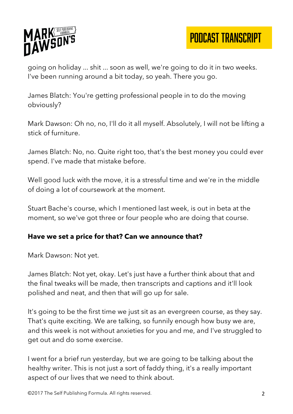

PODCAST TRANSCRIPT

going on holiday ... shit ... soon as well, we're going to do it in two weeks. I've been running around a bit today, so yeah. There you go.

James Blatch: You're getting professional people in to do the moving obviously?

Mark Dawson: Oh no, no, I'll do it all myself. Absolutely, I will not be lifting a stick of furniture.

James Blatch: No, no. Quite right too, that's the best money you could ever spend. I've made that mistake before.

Well good luck with the move, it is a stressful time and we're in the middle of doing a lot of coursework at the moment.

Stuart Bache's course, which I mentioned last week, is out in beta at the moment, so we've got three or four people who are doing that course.

#### **Have we set a price for that? Can we announce that?**

Mark Dawson: Not yet.

James Blatch: Not yet, okay. Let's just have a further think about that and the final tweaks will be made, then transcripts and captions and it'll look polished and neat, and then that will go up for sale.

It's going to be the first time we just sit as an evergreen course, as they say. That's quite exciting. We are talking, so funnily enough how busy we are, and this week is not without anxieties for you and me, and I've struggled to get out and do some exercise.

I went for a brief run yesterday, but we are going to be talking about the healthy writer. This is not just a sort of faddy thing, it's a really important aspect of our lives that we need to think about.

©2017 The Self Publishing Formula. All rights reserved. 2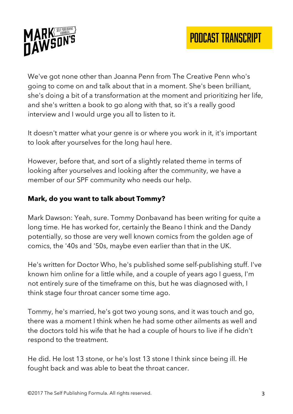

We've got none other than Joanna Penn from The Creative Penn who's going to come on and talk about that in a moment. She's been brilliant, she's doing a bit of a transformation at the moment and prioritizing her life, and she's written a book to go along with that, so it's a really good interview and I would urge you all to listen to it.

It doesn't matter what your genre is or where you work in it, it's important to look after yourselves for the long haul here.

However, before that, and sort of a slightly related theme in terms of looking after yourselves and looking after the community, we have a member of our SPF community who needs our help.

#### **Mark, do you want to talk about Tommy?**

Mark Dawson: Yeah, sure. Tommy Donbavand has been writing for quite a long time. He has worked for, certainly the Beano I think and the Dandy potentially, so those are very well known comics from the golden age of comics, the '40s and '50s, maybe even earlier than that in the UK.

He's written for Doctor Who, he's published some self-publishing stuff. I've known him online for a little while, and a couple of years ago I guess, I'm not entirely sure of the timeframe on this, but he was diagnosed with, I think stage four throat cancer some time ago.

Tommy, he's married, he's got two young sons, and it was touch and go, there was a moment I think when he had some other ailments as well and the doctors told his wife that he had a couple of hours to live if he didn't respond to the treatment.

He did. He lost 13 stone, or he's lost 13 stone I think since being ill. He fought back and was able to beat the throat cancer.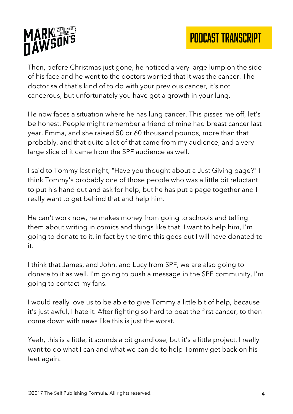

Then, before Christmas just gone, he noticed a very large lump on the side of his face and he went to the doctors worried that it was the cancer. The doctor said that's kind of to do with your previous cancer, it's not cancerous, but unfortunately you have got a growth in your lung.

He now faces a situation where he has lung cancer. This pisses me off, let's be honest. People might remember a friend of mine had breast cancer last year, Emma, and she raised 50 or 60 thousand pounds, more than that probably, and that quite a lot of that came from my audience, and a very large slice of it came from the SPF audience as well.

I said to Tommy last night, "Have you thought about a Just Giving page?" I think Tommy's probably one of those people who was a little bit reluctant to put his hand out and ask for help, but he has put a page together and I really want to get behind that and help him.

He can't work now, he makes money from going to schools and telling them about writing in comics and things like that. I want to help him, I'm going to donate to it, in fact by the time this goes out I will have donated to it.

I think that James, and John, and Lucy from SPF, we are also going to donate to it as well. I'm going to push a message in the SPF community, I'm going to contact my fans.

I would really love us to be able to give Tommy a little bit of help, because it's just awful, I hate it. After fighting so hard to beat the first cancer, to then come down with news like this is just the worst.

Yeah, this is a little, it sounds a bit grandiose, but it's a little project. I really want to do what I can and what we can do to help Tommy get back on his feet again.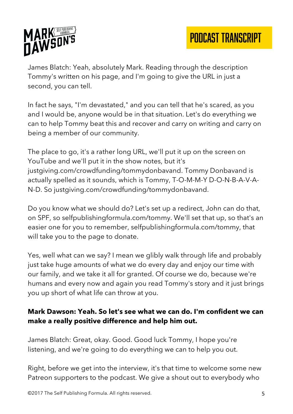

James Blatch: Yeah, absolutely Mark. Reading through the description Tommy's written on his page, and I'm going to give the URL in just a second, you can tell.

In fact he says, "I'm devastated," and you can tell that he's scared, as you and I would be, anyone would be in that situation. Let's do everything we can to help Tommy beat this and recover and carry on writing and carry on being a member of our community.

The place to go, it's a rather long URL, we'll put it up on the screen on YouTube and we'll put it in the show notes, but it's justgiving.com/crowdfunding/tommydonbavand. Tommy Donbavand is actually spelled as it sounds, which is Tommy, T-O-M-M-Y D-O-N-B-A-V-A-N-D. So justgiving.com/crowdfunding/tommydonbavand.

Do you know what we should do? Let's set up a redirect, John can do that, on SPF, so selfpublishingformula.com/tommy. We'll set that up, so that's an easier one for you to remember, selfpublishingformula.com/tommy, that will take you to the page to donate.

Yes, well what can we say? I mean we glibly walk through life and probably just take huge amounts of what we do every day and enjoy our time with our family, and we take it all for granted. Of course we do, because we're humans and every now and again you read Tommy's story and it just brings you up short of what life can throw at you.

## **Mark Dawson: Yeah. So let's see what we can do. I'm confident we can make a really positive difference and help him out.**

James Blatch: Great, okay. Good. Good luck Tommy, I hope you're listening, and we're going to do everything we can to help you out.

Right, before we get into the interview, it's that time to welcome some new Patreon supporters to the podcast. We give a shout out to everybody who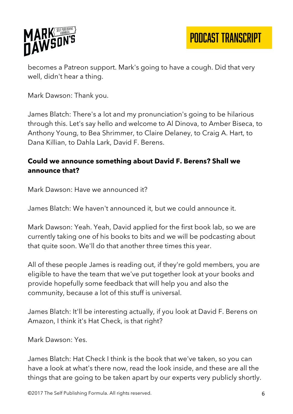

PODCAST TRANSCRIPT

becomes a Patreon support. Mark's going to have a cough. Did that very well, didn't hear a thing.

Mark Dawson: Thank you.

James Blatch: There's a lot and my pronunciation's going to be hilarious through this. Let's say hello and welcome to Al Dinova, to Amber Biseca, to Anthony Young, to Bea Shrimmer, to Claire Delaney, to Craig A. Hart, to Dana Killian, to Dahla Lark, David F. Berens.

#### **Could we announce something about David F. Berens? Shall we announce that?**

Mark Dawson: Have we announced it?

James Blatch: We haven't announced it, but we could announce it.

Mark Dawson: Yeah. Yeah, David applied for the first book lab, so we are currently taking one of his books to bits and we will be podcasting about that quite soon. We'll do that another three times this year.

All of these people James is reading out, if they're gold members, you are eligible to have the team that we've put together look at your books and provide hopefully some feedback that will help you and also the community, because a lot of this stuff is universal.

James Blatch: It'll be interesting actually, if you look at David F. Berens on Amazon, I think it's Hat Check, is that right?

Mark Dawson: Yes.

James Blatch: Hat Check I think is the book that we've taken, so you can have a look at what's there now, read the look inside, and these are all the things that are going to be taken apart by our experts very publicly shortly.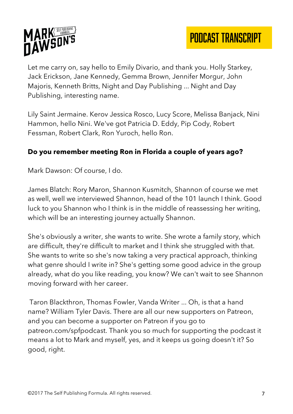

Let me carry on, say hello to Emily Divario, and thank you. Holly Starkey, Jack Erickson, Jane Kennedy, Gemma Brown, Jennifer Morgur, John Majoris, Kenneth Britts, Night and Day Publishing ... Night and Day Publishing, interesting name.

Lily Saint Jermaine. Kerov Jessica Rosco, Lucy Score, Melissa Banjack, Nini Hammon, hello Nini. We've got Patricia D. Eddy, Pip Cody, Robert Fessman, Robert Clark, Ron Yuroch, hello Ron.

#### **Do you remember meeting Ron in Florida a couple of years ago?**

Mark Dawson: Of course, I do.

James Blatch: Rory Maron, Shannon Kusmitch, Shannon of course we met as well, well we interviewed Shannon, head of the 101 launch I think. Good luck to you Shannon who I think is in the middle of reassessing her writing, which will be an interesting journey actually Shannon.

She's obviously a writer, she wants to write. She wrote a family story, which are difficult, they're difficult to market and I think she struggled with that. She wants to write so she's now taking a very practical approach, thinking what genre should I write in? She's getting some good advice in the group already, what do you like reading, you know? We can't wait to see Shannon moving forward with her career.

Taron Blackthron, Thomas Fowler, Vanda Writer ... Oh, is that a hand name? William Tyler Davis. There are all our new supporters on Patreon, and you can become a supporter on Patreon if you go to patreon.com/spfpodcast. Thank you so much for supporting the podcast it means a lot to Mark and myself, yes, and it keeps us going doesn't it? So good, right.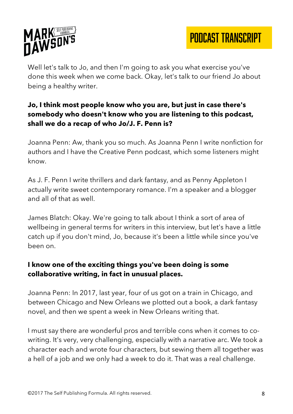

PODCAST TRANSCRIPT

Well let's talk to Jo, and then I'm going to ask you what exercise you've done this week when we come back. Okay, let's talk to our friend Jo about being a healthy writer.

## **Jo, I think most people know who you are, but just in case there's somebody who doesn't know who you are listening to this podcast, shall we do a recap of who Jo/J. F. Penn is?**

Joanna Penn: Aw, thank you so much. As Joanna Penn I write nonfiction for authors and I have the Creative Penn podcast, which some listeners might know.

As J. F. Penn I write thrillers and dark fantasy, and as Penny Appleton I actually write sweet contemporary romance. I'm a speaker and a blogger and all of that as well.

James Blatch: Okay. We're going to talk about I think a sort of area of wellbeing in general terms for writers in this interview, but let's have a little catch up if you don't mind, Jo, because it's been a little while since you've been on.

#### **I know one of the exciting things you've been doing is some collaborative writing, in fact in unusual places.**

Joanna Penn: In 2017, last year, four of us got on a train in Chicago, and between Chicago and New Orleans we plotted out a book, a dark fantasy novel, and then we spent a week in New Orleans writing that.

I must say there are wonderful pros and terrible cons when it comes to cowriting. It's very, very challenging, especially with a narrative arc. We took a character each and wrote four characters, but sewing them all together was a hell of a job and we only had a week to do it. That was a real challenge.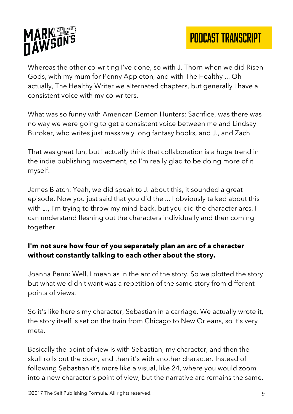



Whereas the other co-writing I've done, so with J. Thorn when we did Risen Gods, with my mum for Penny Appleton, and with The Healthy ... Oh actually, The Healthy Writer we alternated chapters, but generally I have a consistent voice with my co-writers.

What was so funny with American Demon Hunters: Sacrifice, was there was no way we were going to get a consistent voice between me and Lindsay Buroker, who writes just massively long fantasy books, and J., and Zach.

That was great fun, but I actually think that collaboration is a huge trend in the indie publishing movement, so I'm really glad to be doing more of it myself.

James Blatch: Yeah, we did speak to J. about this, it sounded a great episode. Now you just said that you did the ... I obviously talked about this with J., I'm trying to throw my mind back, but you did the character arcs. I can understand fleshing out the characters individually and then coming together.

## **I'm not sure how four of you separately plan an arc of a character without constantly talking to each other about the story.**

Joanna Penn: Well, I mean as in the arc of the story. So we plotted the story but what we didn't want was a repetition of the same story from different points of views.

So it's like here's my character, Sebastian in a carriage. We actually wrote it, the story itself is set on the train from Chicago to New Orleans, so it's very meta.

Basically the point of view is with Sebastian, my character, and then the skull rolls out the door, and then it's with another character. Instead of following Sebastian it's more like a visual, like 24, where you would zoom into a new character's point of view, but the narrative arc remains the same.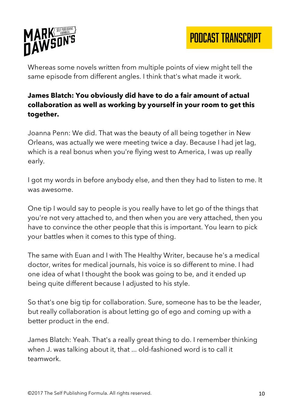

Whereas some novels written from multiple points of view might tell the same episode from different angles. I think that's what made it work.

# **James Blatch: You obviously did have to do a fair amount of actual collaboration as well as working by yourself in your room to get this together.**

Joanna Penn: We did. That was the beauty of all being together in New Orleans, was actually we were meeting twice a day. Because I had jet lag, which is a real bonus when you're flying west to America, I was up really early.

I got my words in before anybody else, and then they had to listen to me. It was awesome.

One tip I would say to people is you really have to let go of the things that you're not very attached to, and then when you are very attached, then you have to convince the other people that this is important. You learn to pick your battles when it comes to this type of thing.

The same with Euan and I with The Healthy Writer, because he's a medical doctor, writes for medical journals, his voice is so different to mine. I had one idea of what I thought the book was going to be, and it ended up being quite different because I adjusted to his style.

So that's one big tip for collaboration. Sure, someone has to be the leader, but really collaboration is about letting go of ego and coming up with a better product in the end.

James Blatch: Yeah. That's a really great thing to do. I remember thinking when J. was talking about it, that ... old-fashioned word is to call it teamwork.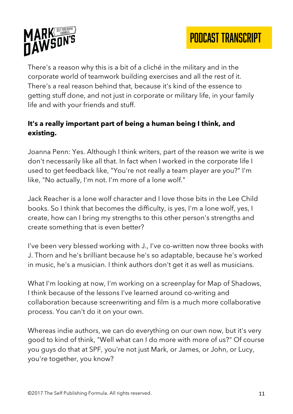

There's a reason why this is a bit of a cliché in the military and in the corporate world of teamwork building exercises and all the rest of it. There's a real reason behind that, because it's kind of the essence to getting stuff done, and not just in corporate or military life, in your family life and with your friends and stuff.

# **It's a really important part of being a human being I think, and existing.**

Joanna Penn: Yes. Although I think writers, part of the reason we write is we don't necessarily like all that. In fact when I worked in the corporate life I used to get feedback like, "You're not really a team player are you?" I'm like, "No actually, I'm not. I'm more of a lone wolf."

Jack Reacher is a lone wolf character and I love those bits in the Lee Child books. So I think that becomes the difficulty, is yes, I'm a lone wolf, yes, I create, how can I bring my strengths to this other person's strengths and create something that is even better?

I've been very blessed working with J., I've co-written now three books with J. Thorn and he's brilliant because he's so adaptable, because he's worked in music, he's a musician. I think authors don't get it as well as musicians.

What I'm looking at now, I'm working on a screenplay for Map of Shadows, I think because of the lessons I've learned around co-writing and collaboration because screenwriting and film is a much more collaborative process. You can't do it on your own.

Whereas indie authors, we can do everything on our own now, but it's very good to kind of think, "Well what can I do more with more of us?" Of course you guys do that at SPF, you're not just Mark, or James, or John, or Lucy, you're together, you know?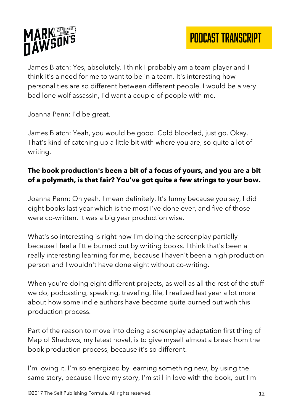

James Blatch: Yes, absolutely. I think I probably am a team player and I think it's a need for me to want to be in a team. It's interesting how personalities are so different between different people. I would be a very bad lone wolf assassin, I'd want a couple of people with me.

Joanna Penn: I'd be great.

James Blatch: Yeah, you would be good. Cold blooded, just go. Okay. That's kind of catching up a little bit with where you are, so quite a lot of writing.

# **The book production's been a bit of a focus of yours, and you are a bit of a polymath, is that fair? You've got quite a few strings to your bow.**

Joanna Penn: Oh yeah. I mean definitely. It's funny because you say, I did eight books last year which is the most I've done ever, and five of those were co-written. It was a big year production wise.

What's so interesting is right now I'm doing the screenplay partially because I feel a little burned out by writing books. I think that's been a really interesting learning for me, because I haven't been a high production person and I wouldn't have done eight without co-writing.

When you're doing eight different projects, as well as all the rest of the stuff we do, podcasting, speaking, traveling, life, I realized last year a lot more about how some indie authors have become quite burned out with this production process.

Part of the reason to move into doing a screenplay adaptation first thing of Map of Shadows, my latest novel, is to give myself almost a break from the book production process, because it's so different.

I'm loving it. I'm so energized by learning something new, by using the same story, because I love my story, I'm still in love with the book, but I'm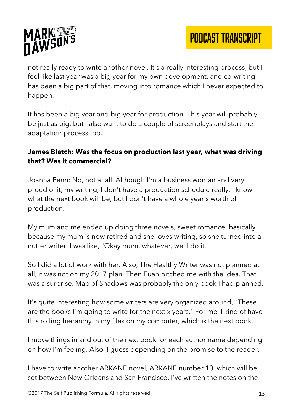

not really ready to write another novel. It's a really interesting process, but I feel like last year was a big year for my own development, and co-writing has been a big part of that, moving into romance which I never expected to happen.

It has been a big year and big year for production. This year will probably be just as big, but I also want to do a couple of screenplays and start the adaptation process too.

#### **James Blatch: Was the focus on production last year, what was driving that? Was it commercial?**

Joanna Penn: No, not at all. Although I'm a business woman and very proud of it, my writing, I don't have a production schedule really. I know what the next book will be, but I don't have a whole year's worth of production.

My mum and me ended up doing three novels, sweet romance, basically because my mum is now retired and she loves writing, so she turned into a nutter writer. I was like, "Okay mum, whatever, we'll do it."

So I did a lot of work with her. Also, The Healthy Writer was not planned at all, it was not on my 2017 plan. Then Euan pitched me with the idea. That was a surprise. Map of Shadows was probably the only book I had planned.

It's quite interesting how some writers are very organized around, "These are the books I'm going to write for the next x years." For me, I kind of have this rolling hierarchy in my files on my computer, which is the next book.

I move things in and out of the next book for each author name depending on how I'm feeling. Also, I guess depending on the promise to the reader.

I have to write another ARKANE novel, ARKANE number 10, which will be set between New Orleans and San Francisco. I've written the notes on the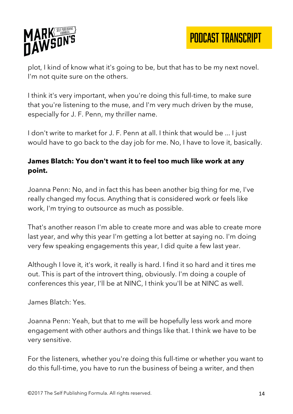

plot, I kind of know what it's going to be, but that has to be my next novel. I'm not quite sure on the others.

I think it's very important, when you're doing this full-time, to make sure that you're listening to the muse, and I'm very much driven by the muse, especially for J. F. Penn, my thriller name.

I don't write to market for J. F. Penn at all. I think that would be ... I just would have to go back to the day job for me. No, I have to love it, basically.

#### **James Blatch: You don't want it to feel too much like work at any point.**

Joanna Penn: No, and in fact this has been another big thing for me, I've really changed my focus. Anything that is considered work or feels like work, I'm trying to outsource as much as possible.

That's another reason I'm able to create more and was able to create more last year, and why this year I'm getting a lot better at saying no. I'm doing very few speaking engagements this year, I did quite a few last year.

Although I love it, it's work, it really is hard. I find it so hard and it tires me out. This is part of the introvert thing, obviously. I'm doing a couple of conferences this year, I'll be at NINC, I think you'll be at NINC as well.

James Blatch: Yes.

Joanna Penn: Yeah, but that to me will be hopefully less work and more engagement with other authors and things like that. I think we have to be very sensitive.

For the listeners, whether you're doing this full-time or whether you want to do this full-time, you have to run the business of being a writer, and then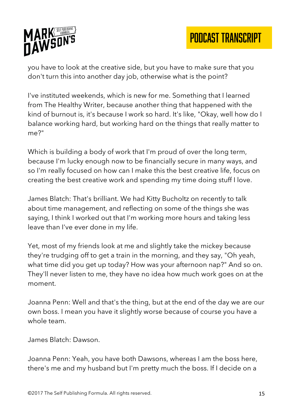

you have to look at the creative side, but you have to make sure that you don't turn this into another day job, otherwise what is the point?

I've instituted weekends, which is new for me. Something that I learned from The Healthy Writer, because another thing that happened with the kind of burnout is, it's because I work so hard. It's like, "Okay, well how do I balance working hard, but working hard on the things that really matter to me?"

Which is building a body of work that I'm proud of over the long term, because I'm lucky enough now to be financially secure in many ways, and so I'm really focused on how can I make this the best creative life, focus on creating the best creative work and spending my time doing stuff I love.

James Blatch: That's brilliant. We had Kitty Bucholtz on recently to talk about time management, and reflecting on some of the things she was saying, I think I worked out that I'm working more hours and taking less leave than I've ever done in my life.

Yet, most of my friends look at me and slightly take the mickey because they're trudging off to get a train in the morning, and they say, "Oh yeah, what time did you get up today? How was your afternoon nap?" And so on. They'll never listen to me, they have no idea how much work goes on at the moment.

Joanna Penn: Well and that's the thing, but at the end of the day we are our own boss. I mean you have it slightly worse because of course you have a whole team.

James Blatch: Dawson.

Joanna Penn: Yeah, you have both Dawsons, whereas I am the boss here, there's me and my husband but I'm pretty much the boss. If I decide on a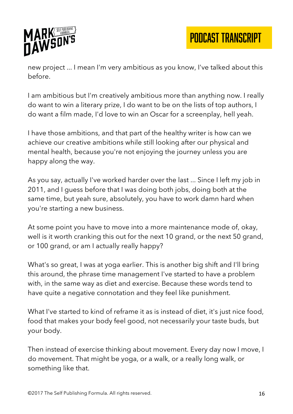

PODCAST TRANSCRIPT

new project ... I mean I'm very ambitious as you know, I've talked about this before.

I am ambitious but I'm creatively ambitious more than anything now. I really do want to win a literary prize, I do want to be on the lists of top authors, I do want a film made, I'd love to win an Oscar for a screenplay, hell yeah.

I have those ambitions, and that part of the healthy writer is how can we achieve our creative ambitions while still looking after our physical and mental health, because you're not enjoying the journey unless you are happy along the way.

As you say, actually I've worked harder over the last ... Since I left my job in 2011, and I guess before that I was doing both jobs, doing both at the same time, but yeah sure, absolutely, you have to work damn hard when you're starting a new business.

At some point you have to move into a more maintenance mode of, okay, well is it worth cranking this out for the next 10 grand, or the next 50 grand, or 100 grand, or am I actually really happy?

What's so great, I was at yoga earlier. This is another big shift and I'll bring this around, the phrase time management I've started to have a problem with, in the same way as diet and exercise. Because these words tend to have quite a negative connotation and they feel like punishment.

What I've started to kind of reframe it as is instead of diet, it's just nice food, food that makes your body feel good, not necessarily your taste buds, but your body.

Then instead of exercise thinking about movement. Every day now I move, I do movement. That might be yoga, or a walk, or a really long walk, or something like that.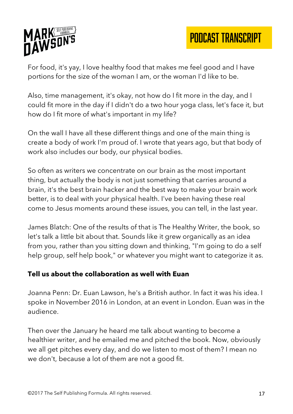

For food, it's yay, I love healthy food that makes me feel good and I have portions for the size of the woman I am, or the woman I'd like to be.

Also, time management, it's okay, not how do I fit more in the day, and I could fit more in the day if I didn't do a two hour yoga class, let's face it, but how do I fit more of what's important in my life?

On the wall I have all these different things and one of the main thing is create a body of work I'm proud of. I wrote that years ago, but that body of work also includes our body, our physical bodies.

So often as writers we concentrate on our brain as the most important thing, but actually the body is not just something that carries around a brain, it's the best brain hacker and the best way to make your brain work better, is to deal with your physical health. I've been having these real come to Jesus moments around these issues, you can tell, in the last year.

James Blatch: One of the results of that is The Healthy Writer, the book, so let's talk a little bit about that. Sounds like it grew organically as an idea from you, rather than you sitting down and thinking, "I'm going to do a self help group, self help book," or whatever you might want to categorize it as.

#### **Tell us about the collaboration as well with Euan**

Joanna Penn: Dr. Euan Lawson, he's a British author. In fact it was his idea. I spoke in November 2016 in London, at an event in London. Euan was in the audience.

Then over the January he heard me talk about wanting to become a healthier writer, and he emailed me and pitched the book. Now, obviously we all get pitches every day, and do we listen to most of them? I mean no we don't, because a lot of them are not a good fit.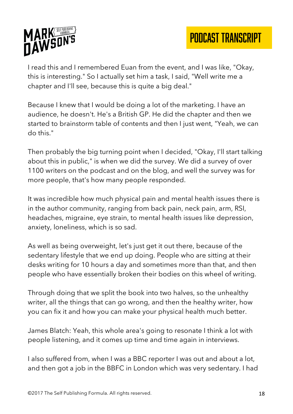



I read this and I remembered Euan from the event, and I was like, "Okay, this is interesting." So I actually set him a task, I said, "Well write me a chapter and I'll see, because this is quite a big deal."

Because I knew that I would be doing a lot of the marketing. I have an audience, he doesn't. He's a British GP. He did the chapter and then we started to brainstorm table of contents and then I just went, "Yeah, we can do this."

Then probably the big turning point when I decided, "Okay, I'll start talking about this in public," is when we did the survey. We did a survey of over 1100 writers on the podcast and on the blog, and well the survey was for more people, that's how many people responded.

It was incredible how much physical pain and mental health issues there is in the author community, ranging from back pain, neck pain, arm, RSI, headaches, migraine, eye strain, to mental health issues like depression, anxiety, loneliness, which is so sad.

As well as being overweight, let's just get it out there, because of the sedentary lifestyle that we end up doing. People who are sitting at their desks writing for 10 hours a day and sometimes more than that, and then people who have essentially broken their bodies on this wheel of writing.

Through doing that we split the book into two halves, so the unhealthy writer, all the things that can go wrong, and then the healthy writer, how you can fix it and how you can make your physical health much better.

James Blatch: Yeah, this whole area's going to resonate I think a lot with people listening, and it comes up time and time again in interviews.

I also suffered from, when I was a BBC reporter I was out and about a lot, and then got a job in the BBFC in London which was very sedentary. I had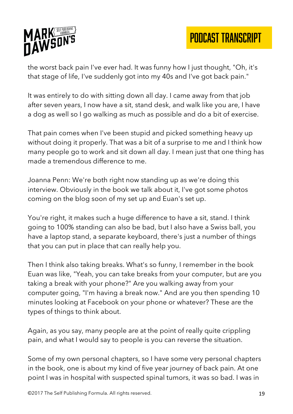

the worst back pain I've ever had. It was funny how I just thought, "Oh, it's that stage of life, I've suddenly got into my 40s and I've got back pain."

It was entirely to do with sitting down all day. I came away from that job after seven years, I now have a sit, stand desk, and walk like you are, I have a dog as well so I go walking as much as possible and do a bit of exercise.

That pain comes when I've been stupid and picked something heavy up without doing it properly. That was a bit of a surprise to me and I think how many people go to work and sit down all day. I mean just that one thing has made a tremendous difference to me.

Joanna Penn: We're both right now standing up as we're doing this interview. Obviously in the book we talk about it, I've got some photos coming on the blog soon of my set up and Euan's set up.

You're right, it makes such a huge difference to have a sit, stand. I think going to 100% standing can also be bad, but I also have a Swiss ball, you have a laptop stand, a separate keyboard, there's just a number of things that you can put in place that can really help you.

Then I think also taking breaks. What's so funny, I remember in the book Euan was like, "Yeah, you can take breaks from your computer, but are you taking a break with your phone?" Are you walking away from your computer going, "I'm having a break now." And are you then spending 10 minutes looking at Facebook on your phone or whatever? These are the types of things to think about.

Again, as you say, many people are at the point of really quite crippling pain, and what I would say to people is you can reverse the situation.

Some of my own personal chapters, so I have some very personal chapters in the book, one is about my kind of five year journey of back pain. At one point I was in hospital with suspected spinal tumors, it was so bad. I was in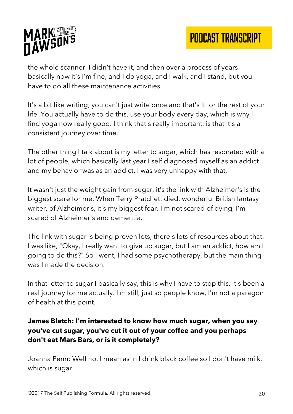

the whole scanner. I didn't have it, and then over a process of years basically now it's I'm fine, and I do yoga, and I walk, and I stand, but you have to do all these maintenance activities.

It's a bit like writing, you can't just write once and that's it for the rest of your life. You actually have to do this, use your body every day, which is why I find yoga now really good. I think that's really important, is that it's a consistent journey over time.

The other thing I talk about is my letter to sugar, which has resonated with a lot of people, which basically last year I self diagnosed myself as an addict and my behavior was as an addict. I was very unhappy with that.

It wasn't just the weight gain from sugar, it's the link with Alzheimer's is the biggest scare for me. When Terry Pratchett died, wonderful British fantasy writer, of Alzheimer's, it's my biggest fear. I'm not scared of dying, I'm scared of Alzheimer's and dementia.

The link with sugar is being proven lots, there's lots of resources about that. I was like, "Okay, I really want to give up sugar, but I am an addict, how am I going to do this?" So I went, I had some psychotherapy, but the main thing was I made the decision.

In that letter to sugar I basically say, this is why I have to stop this. It's been a real journey for me actually. I'm still, just so people know, I'm not a paragon of health at this point.

## **James Blatch: I'm interested to know how much sugar, when you say you've cut sugar, you've cut it out of your coffee and you perhaps don't eat Mars Bars, or is it completely?**

Joanna Penn: Well no, I mean as in I drink black coffee so I don't have milk, which is sugar.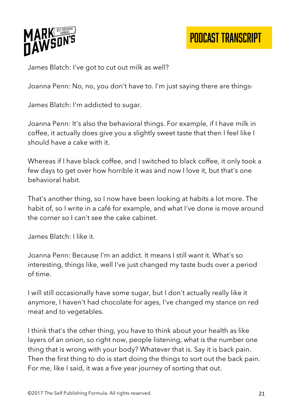

James Blatch: I've got to cut out milk as well?

Joanna Penn: No, no, you don't have to. I'm just saying there are things-

James Blatch: I'm addicted to sugar.

Joanna Penn: It's also the behavioral things. For example, if I have milk in coffee, it actually does give you a slightly sweet taste that then I feel like I should have a cake with it.

Whereas if I have black coffee, and I switched to black coffee, it only took a few days to get over how horrible it was and now I love it, but that's one behavioral habit.

That's another thing, so I now have been looking at habits a lot more. The habit of, so I write in a café for example, and what I've done is move around the corner so I can't see the cake cabinet.

James Blatch: I like it.

Joanna Penn: Because I'm an addict. It means I still want it. What's so interesting, things like, well I've just changed my taste buds over a period of time.

I will still occasionally have some sugar, but I don't actually really like it anymore, I haven't had chocolate for ages, I've changed my stance on red meat and to vegetables.

I think that's the other thing, you have to think about your health as like layers of an onion, so right now, people listening, what is the number one thing that is wrong with your body? Whatever that is. Say it is back pain. Then the first thing to do is start doing the things to sort out the back pain. For me, like I said, it was a five year journey of sorting that out.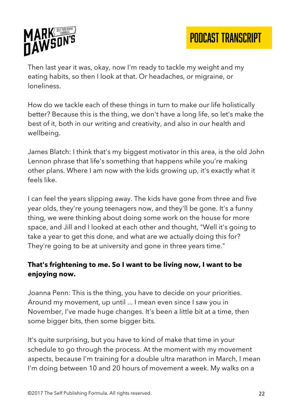

Then last year it was, okay, now I'm ready to tackle my weight and my eating habits, so then I look at that. Or headaches, or migraine, or loneliness.

How do we tackle each of these things in turn to make our life holistically better? Because this is the thing, we don't have a long life, so let's make the best of it, both in our writing and creativity, and also in our health and wellbeing.

James Blatch: I think that's my biggest motivator in this area, is the old John Lennon phrase that life's something that happens while you're making other plans. Where I am now with the kids growing up, it's exactly what it feels like.

I can feel the years slipping away. The kids have gone from three and five year olds, they're young teenagers now, and they'll be gone. It's a funny thing, we were thinking about doing some work on the house for more space, and Jill and I looked at each other and thought, "Well it's going to take a year to get this done, and what are we actually doing this for? They're going to be at university and gone in three years time."

## **That's frightening to me. So I want to be living now, I want to be enjoying now.**

Joanna Penn: This is the thing, you have to decide on your priorities. Around my movement, up until ... I mean even since I saw you in November, I've made huge changes. It's been a little bit at a time, then some bigger bits, then some bigger bits.

It's quite surprising, but you have to kind of make that time in your schedule to go through the process. At the moment with my movement aspects, because I'm training for a double ultra marathon in March, I mean I'm doing between 10 and 20 hours of movement a week. My walks on a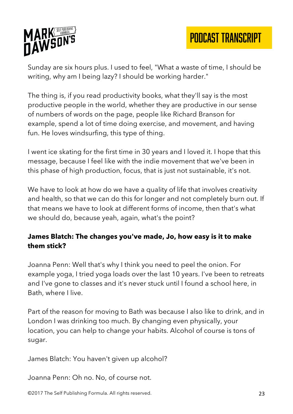



Sunday are six hours plus. I used to feel, "What a waste of time, I should be writing, why am I being lazy? I should be working harder."

The thing is, if you read productivity books, what they'll say is the most productive people in the world, whether they are productive in our sense of numbers of words on the page, people like Richard Branson for example, spend a lot of time doing exercise, and movement, and having fun. He loves windsurfing, this type of thing.

I went ice skating for the first time in 30 years and I loved it. I hope that this message, because I feel like with the indie movement that we've been in this phase of high production, focus, that is just not sustainable, it's not.

We have to look at how do we have a quality of life that involves creativity and health, so that we can do this for longer and not completely burn out. If that means we have to look at different forms of income, then that's what we should do, because yeah, again, what's the point?

#### **James Blatch: The changes you've made, Jo, how easy is it to make them stick?**

Joanna Penn: Well that's why I think you need to peel the onion. For example yoga, I tried yoga loads over the last 10 years. I've been to retreats and I've gone to classes and it's never stuck until I found a school here, in Bath, where I live.

Part of the reason for moving to Bath was because I also like to drink, and in London I was drinking too much. By changing even physically, your location, you can help to change your habits. Alcohol of course is tons of sugar.

James Blatch: You haven't given up alcohol?

Joanna Penn: Oh no. No, of course not.

©2017 The Self Publishing Formula. All rights reserved. 23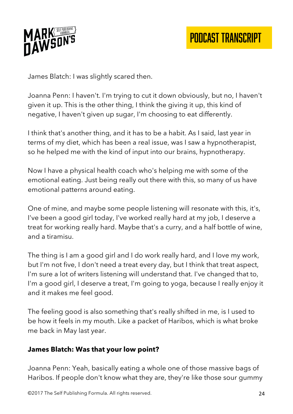

James Blatch: I was slightly scared then.

Joanna Penn: I haven't. I'm trying to cut it down obviously, but no, I haven't given it up. This is the other thing, I think the giving it up, this kind of negative, I haven't given up sugar, I'm choosing to eat differently.

I think that's another thing, and it has to be a habit. As I said, last year in terms of my diet, which has been a real issue, was I saw a hypnotherapist, so he helped me with the kind of input into our brains, hypnotherapy.

Now I have a physical health coach who's helping me with some of the emotional eating. Just being really out there with this, so many of us have emotional patterns around eating.

One of mine, and maybe some people listening will resonate with this, it's, I've been a good girl today, I've worked really hard at my job, I deserve a treat for working really hard. Maybe that's a curry, and a half bottle of wine, and a tiramisu.

The thing is I am a good girl and I do work really hard, and I love my work, but I'm not five, I don't need a treat every day, but I think that treat aspect, I'm sure a lot of writers listening will understand that. I've changed that to, I'm a good girl, I deserve a treat, I'm going to yoga, because I really enjoy it and it makes me feel good.

The feeling good is also something that's really shifted in me, is I used to be how it feels in my mouth. Like a packet of Haribos, which is what broke me back in May last year.

#### **James Blatch: Was that your low point?**

Joanna Penn: Yeah, basically eating a whole one of those massive bags of Haribos. If people don't know what they are, they're like those sour gummy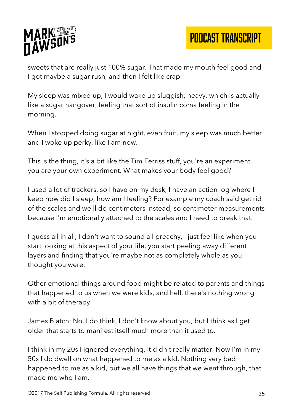



sweets that are really just 100% sugar. That made my mouth feel good and I got maybe a sugar rush, and then I felt like crap.

My sleep was mixed up, I would wake up sluggish, heavy, which is actually like a sugar hangover, feeling that sort of insulin coma feeling in the morning.

When I stopped doing sugar at night, even fruit, my sleep was much better and I woke up perky, like I am now.

This is the thing, it's a bit like the Tim Ferriss stuff, you're an experiment, you are your own experiment. What makes your body feel good?

I used a lot of trackers, so I have on my desk, I have an action log where I keep how did I sleep, how am I feeling? For example my coach said get rid of the scales and we'll do centimeters instead, so centimeter measurements because I'm emotionally attached to the scales and I need to break that.

I guess all in all, I don't want to sound all preachy, I just feel like when you start looking at this aspect of your life, you start peeling away different layers and finding that you're maybe not as completely whole as you thought you were.

Other emotional things around food might be related to parents and things that happened to us when we were kids, and hell, there's nothing wrong with a bit of therapy.

James Blatch: No. I do think, I don't know about you, but I think as I get older that starts to manifest itself much more than it used to.

I think in my 20s I ignored everything, it didn't really matter. Now I'm in my 50s I do dwell on what happened to me as a kid. Nothing very bad happened to me as a kid, but we all have things that we went through, that made me who I am.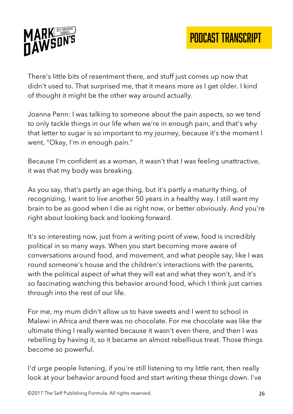

There's little bits of resentment there, and stuff just comes up now that didn't used to. That surprised me, that it means more as I get older. I kind of thought it might be the other way around actually.

Joanna Penn: I was talking to someone about the pain aspects, so we tend to only tackle things in our life when we're in enough pain, and that's why that letter to sugar is so important to my journey, because it's the moment I went, "Okay, I'm in enough pain."

Because I'm confident as a woman, it wasn't that I was feeling unattractive, it was that my body was breaking.

As you say, that's partly an age thing, but it's partly a maturity thing, of recognizing, I want to live another 50 years in a healthy way. I still want my brain to be as good when I die as right now, or better obviously. And you're right about looking back and looking forward.

It's so interesting now, just from a writing point of view, food is incredibly political in so many ways. When you start becoming more aware of conversations around food, and movement, and what people say, like I was round someone's house and the children's interactions with the parents, with the political aspect of what they will eat and what they won't, and it's so fascinating watching this behavior around food, which I think just carries through into the rest of our life.

For me, my mum didn't allow us to have sweets and I went to school in Malawi in Africa and there was no chocolate. For me chocolate was like the ultimate thing I really wanted because it wasn't even there, and then I was rebelling by having it, so it became an almost rebellious treat. Those things become so powerful.

I'd urge people listening, if you're still listening to my little rant, then really look at your behavior around food and start writing these things down. I've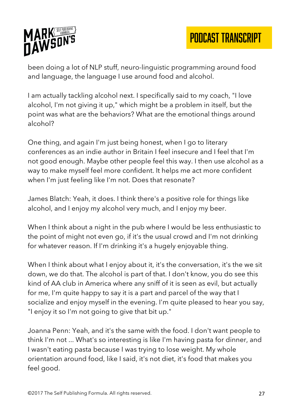

been doing a lot of NLP stuff, neuro-linguistic programming around food and language, the language I use around food and alcohol.

I am actually tackling alcohol next. I specifically said to my coach, "I love alcohol, I'm not giving it up," which might be a problem in itself, but the point was what are the behaviors? What are the emotional things around alcohol?

One thing, and again I'm just being honest, when I go to literary conferences as an indie author in Britain I feel insecure and I feel that I'm not good enough. Maybe other people feel this way. I then use alcohol as a way to make myself feel more confident. It helps me act more confident when I'm just feeling like I'm not. Does that resonate?

James Blatch: Yeah, it does. I think there's a positive role for things like alcohol, and I enjoy my alcohol very much, and I enjoy my beer.

When I think about a night in the pub where I would be less enthusiastic to the point of might not even go, if it's the usual crowd and I'm not drinking for whatever reason. If I'm drinking it's a hugely enjoyable thing.

When I think about what I enjoy about it, it's the conversation, it's the we sit down, we do that. The alcohol is part of that. I don't know, you do see this kind of AA club in America where any sniff of it is seen as evil, but actually for me, I'm quite happy to say it is a part and parcel of the way that I socialize and enjoy myself in the evening. I'm quite pleased to hear you say, "I enjoy it so I'm not going to give that bit up."

Joanna Penn: Yeah, and it's the same with the food. I don't want people to think I'm not ... What's so interesting is like I'm having pasta for dinner, and I wasn't eating pasta because I was trying to lose weight. My whole orientation around food, like I said, it's not diet, it's food that makes you feel good.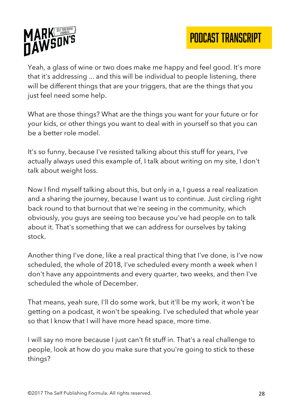



Yeah, a glass of wine or two does make me happy and feel good. It's more that it's addressing ... and this will be individual to people listening, there will be different things that are your triggers, that are the things that you just feel need some help.

What are those things? What are the things you want for your future or for your kids, or other things you want to deal with in yourself so that you can be a better role model.

It's so funny, because I've resisted talking about this stuff for years, I've actually always used this example of, I talk about writing on my site, I don't talk about weight loss.

Now I find myself talking about this, but only in a, I guess a real realization and a sharing the journey, because I want us to continue. Just circling right back round to that burnout that we're seeing in the community, which obviously, you guys are seeing too because you've had people on to talk about it. That's something that we can address for ourselves by taking stock.

Another thing I've done, like a real practical thing that I've done, is I've now scheduled, the whole of 2018, I've scheduled every month a week when I don't have any appointments and every quarter, two weeks, and then I've scheduled the whole of December.

That means, yeah sure, I'll do some work, but it'll be my work, it won't be getting on a podcast, it won't be speaking. I've scheduled that whole year so that I know that I will have more head space, more time.

I will say no more because I just can't fit stuff in. That's a real challenge to people, look at how do you make sure that you're going to stick to these things?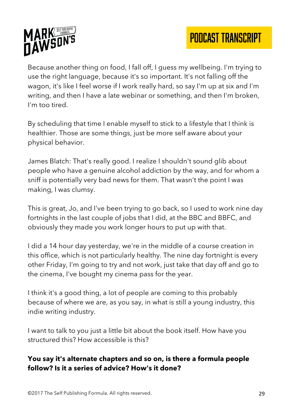

Because another thing on food, I fall off, I guess my wellbeing. I'm trying to use the right language, because it's so important. It's not falling off the wagon, it's like I feel worse if I work really hard, so say I'm up at six and I'm writing, and then I have a late webinar or something, and then I'm broken, I'm too tired.

By scheduling that time I enable myself to stick to a lifestyle that I think is healthier. Those are some things, just be more self aware about your physical behavior.

James Blatch: That's really good. I realize I shouldn't sound glib about people who have a genuine alcohol addiction by the way, and for whom a sniff is potentially very bad news for them. That wasn't the point I was making, I was clumsy.

This is great, Jo, and I've been trying to go back, so I used to work nine day fortnights in the last couple of jobs that I did, at the BBC and BBFC, and obviously they made you work longer hours to put up with that.

I did a 14 hour day yesterday, we're in the middle of a course creation in this office, which is not particularly healthy. The nine day fortnight is every other Friday, I'm going to try and not work, just take that day off and go to the cinema, I've bought my cinema pass for the year.

I think it's a good thing, a lot of people are coming to this probably because of where we are, as you say, in what is still a young industry, this indie writing industry.

I want to talk to you just a little bit about the book itself. How have you structured this? How accessible is this?

#### **You say it's alternate chapters and so on, is there a formula people follow? Is it a series of advice? How's it done?**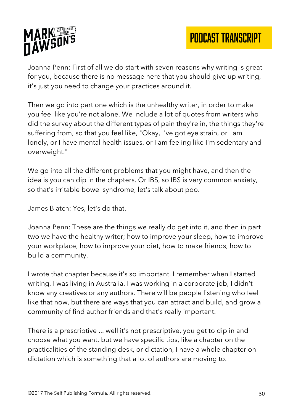

Joanna Penn: First of all we do start with seven reasons why writing is great for you, because there is no message here that you should give up writing, it's just you need to change your practices around it.

Then we go into part one which is the unhealthy writer, in order to make you feel like you're not alone. We include a lot of quotes from writers who did the survey about the different types of pain they're in, the things they're suffering from, so that you feel like, "Okay, I've got eye strain, or I am lonely, or I have mental health issues, or I am feeling like I'm sedentary and overweight."

We go into all the different problems that you might have, and then the idea is you can dip in the chapters. Or IBS, so IBS is very common anxiety, so that's irritable bowel syndrome, let's talk about poo.

James Blatch: Yes, let's do that.

Joanna Penn: These are the things we really do get into it, and then in part two we have the healthy writer; how to improve your sleep, how to improve your workplace, how to improve your diet, how to make friends, how to build a community.

I wrote that chapter because it's so important. I remember when I started writing, I was living in Australia, I was working in a corporate job, I didn't know any creatives or any authors. There will be people listening who feel like that now, but there are ways that you can attract and build, and grow a community of find author friends and that's really important.

There is a prescriptive ... well it's not prescriptive, you get to dip in and choose what you want, but we have specific tips, like a chapter on the practicalities of the standing desk, or dictation, I have a whole chapter on dictation which is something that a lot of authors are moving to.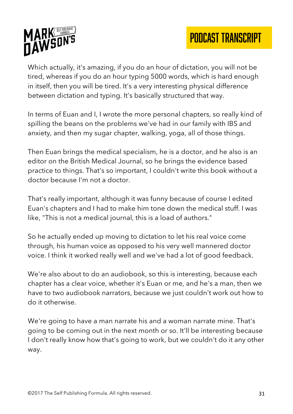

Which actually, it's amazing, if you do an hour of dictation, you will not be tired, whereas if you do an hour typing 5000 words, which is hard enough in itself, then you will be tired. It's a very interesting physical difference between dictation and typing. It's basically structured that way.

In terms of Euan and I, I wrote the more personal chapters, so really kind of spilling the beans on the problems we've had in our family with IBS and anxiety, and then my sugar chapter, walking, yoga, all of those things.

Then Euan brings the medical specialism, he is a doctor, and he also is an editor on the British Medical Journal, so he brings the evidence based practice to things. That's so important, I couldn't write this book without a doctor because I'm not a doctor.

That's really important, although it was funny because of course I edited Euan's chapters and I had to make him tone down the medical stuff. I was like, "This is not a medical journal, this is a load of authors."

So he actually ended up moving to dictation to let his real voice come through, his human voice as opposed to his very well mannered doctor voice. I think it worked really well and we've had a lot of good feedback.

We're also about to do an audiobook, so this is interesting, because each chapter has a clear voice, whether it's Euan or me, and he's a man, then we have to two audiobook narrators, because we just couldn't work out how to do it otherwise.

We're going to have a man narrate his and a woman narrate mine. That's going to be coming out in the next month or so. It'll be interesting because I don't really know how that's going to work, but we couldn't do it any other way.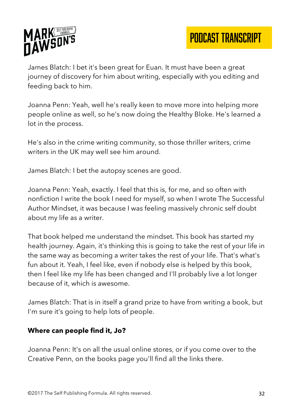

James Blatch: I bet it's been great for Euan. It must have been a great journey of discovery for him about writing, especially with you editing and feeding back to him.

Joanna Penn: Yeah, well he's really keen to move more into helping more people online as well, so he's now doing the Healthy Bloke. He's learned a lot in the process.

He's also in the crime writing community, so those thriller writers, crime writers in the UK may well see him around.

James Blatch: I bet the autopsy scenes are good.

Joanna Penn: Yeah, exactly. I feel that this is, for me, and so often with nonfiction I write the book I need for myself, so when I wrote The Successful Author Mindset, it was because I was feeling massively chronic self doubt about my life as a writer.

That book helped me understand the mindset. This book has started my health journey. Again, it's thinking this is going to take the rest of your life in the same way as becoming a writer takes the rest of your life. That's what's fun about it. Yeah, I feel like, even if nobody else is helped by this book, then I feel like my life has been changed and I'll probably live a lot longer because of it, which is awesome.

James Blatch: That is in itself a grand prize to have from writing a book, but I'm sure it's going to help lots of people.

#### **Where can people find it, Jo?**

Joanna Penn: It's on all the usual online stores, or if you come over to the Creative Penn, on the books page you'll find all the links there.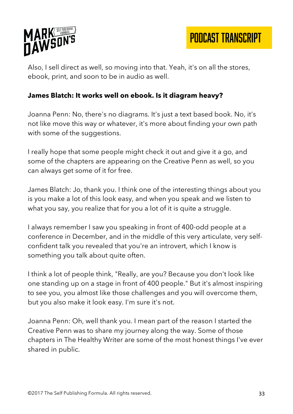

PODCAST TRANSCRIPT

Also, I sell direct as well, so moving into that. Yeah, it's on all the stores, ebook, print, and soon to be in audio as well.

#### **James Blatch: It works well on ebook. Is it diagram heavy?**

Joanna Penn: No, there's no diagrams. It's just a text based book. No, it's not like move this way or whatever, it's more about finding your own path with some of the suggestions.

I really hope that some people might check it out and give it a go, and some of the chapters are appearing on the Creative Penn as well, so you can always get some of it for free.

James Blatch: Jo, thank you. I think one of the interesting things about you is you make a lot of this look easy, and when you speak and we listen to what you say, you realize that for you a lot of it is quite a struggle.

I always remember I saw you speaking in front of 400-odd people at a conference in December, and in the middle of this very articulate, very selfconfident talk you revealed that you're an introvert, which I know is something you talk about quite often.

I think a lot of people think, "Really, are you? Because you don't look like one standing up on a stage in front of 400 people." But it's almost inspiring to see you, you almost like those challenges and you will overcome them, but you also make it look easy. I'm sure it's not.

Joanna Penn: Oh, well thank you. I mean part of the reason I started the Creative Penn was to share my journey along the way. Some of those chapters in The Healthy Writer are some of the most honest things I've ever shared in public.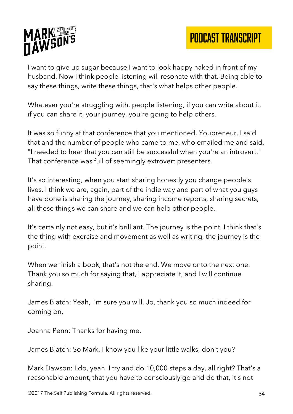

I want to give up sugar because I want to look happy naked in front of my husband. Now I think people listening will resonate with that. Being able to say these things, write these things, that's what helps other people.

Whatever you're struggling with, people listening, if you can write about it, if you can share it, your journey, you're going to help others.

It was so funny at that conference that you mentioned, Youpreneur, I said that and the number of people who came to me, who emailed me and said, "I needed to hear that you can still be successful when you're an introvert." That conference was full of seemingly extrovert presenters.

It's so interesting, when you start sharing honestly you change people's lives. I think we are, again, part of the indie way and part of what you guys have done is sharing the journey, sharing income reports, sharing secrets, all these things we can share and we can help other people.

It's certainly not easy, but it's brilliant. The journey is the point. I think that's the thing with exercise and movement as well as writing, the journey is the point.

When we finish a book, that's not the end. We move onto the next one. Thank you so much for saying that, I appreciate it, and I will continue sharing.

James Blatch: Yeah, I'm sure you will. Jo, thank you so much indeed for coming on.

Joanna Penn: Thanks for having me.

James Blatch: So Mark, I know you like your little walks, don't you?

Mark Dawson: I do, yeah. I try and do 10,000 steps a day, all right? That's a reasonable amount, that you have to consciously go and do that, it's not

©2017 The Self Publishing Formula. All rights reserved. 34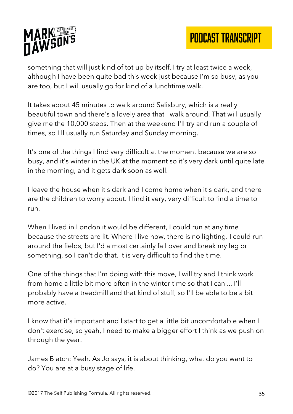

something that will just kind of tot up by itself. I try at least twice a week, although I have been quite bad this week just because I'm so busy, as you are too, but I will usually go for kind of a lunchtime walk.

It takes about 45 minutes to walk around Salisbury, which is a really beautiful town and there's a lovely area that I walk around. That will usually give me the 10,000 steps. Then at the weekend I'll try and run a couple of times, so I'll usually run Saturday and Sunday morning.

It's one of the things I find very difficult at the moment because we are so busy, and it's winter in the UK at the moment so it's very dark until quite late in the morning, and it gets dark soon as well.

I leave the house when it's dark and I come home when it's dark, and there are the children to worry about. I find it very, very difficult to find a time to run.

When I lived in London it would be different, I could run at any time because the streets are lit. Where I live now, there is no lighting. I could run around the fields, but I'd almost certainly fall over and break my leg or something, so I can't do that. It is very difficult to find the time.

One of the things that I'm doing with this move, I will try and I think work from home a little bit more often in the winter time so that I can ... I'll probably have a treadmill and that kind of stuff, so I'll be able to be a bit more active.

I know that it's important and I start to get a little bit uncomfortable when I don't exercise, so yeah, I need to make a bigger effort I think as we push on through the year.

James Blatch: Yeah. As Jo says, it is about thinking, what do you want to do? You are at a busy stage of life.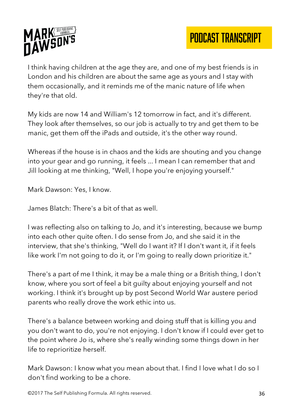

I think having children at the age they are, and one of my best friends is in London and his children are about the same age as yours and I stay with them occasionally, and it reminds me of the manic nature of life when they're that old.

My kids are now 14 and William's 12 tomorrow in fact, and it's different. They look after themselves, so our job is actually to try and get them to be manic, get them off the iPads and outside, it's the other way round.

Whereas if the house is in chaos and the kids are shouting and you change into your gear and go running, it feels ... I mean I can remember that and Jill looking at me thinking, "Well, I hope you're enjoying yourself."

Mark Dawson: Yes, I know.

James Blatch: There's a bit of that as well.

I was reflecting also on talking to Jo, and it's interesting, because we bump into each other quite often. I do sense from Jo, and she said it in the interview, that she's thinking, "Well do I want it? If I don't want it, if it feels like work I'm not going to do it, or I'm going to really down prioritize it."

There's a part of me I think, it may be a male thing or a British thing, I don't know, where you sort of feel a bit guilty about enjoying yourself and not working. I think it's brought up by post Second World War austere period parents who really drove the work ethic into us.

There's a balance between working and doing stuff that is killing you and you don't want to do, you're not enjoying. I don't know if I could ever get to the point where Jo is, where she's really winding some things down in her life to reprioritize herself.

Mark Dawson: I know what you mean about that. I find I love what I do so I don't find working to be a chore.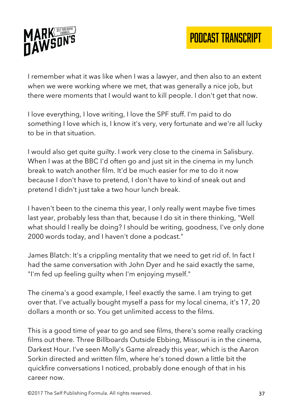

I remember what it was like when I was a lawyer, and then also to an extent when we were working where we met, that was generally a nice job, but there were moments that I would want to kill people. I don't get that now.

I love everything, I love writing, I love the SPF stuff. I'm paid to do something I love which is, I know it's very, very fortunate and we're all lucky to be in that situation.

I would also get quite guilty. I work very close to the cinema in Salisbury. When I was at the BBC I'd often go and just sit in the cinema in my lunch break to watch another film. It'd be much easier for me to do it now because I don't have to pretend, I don't have to kind of sneak out and pretend I didn't just take a two hour lunch break.

I haven't been to the cinema this year, I only really went maybe five times last year, probably less than that, because I do sit in there thinking, "Well what should I really be doing? I should be writing, goodness, I've only done 2000 words today, and I haven't done a podcast."

James Blatch: It's a crippling mentality that we need to get rid of. In fact I had the same conversation with John Dyer and he said exactly the same, "I'm fed up feeling guilty when I'm enjoying myself."

The cinema's a good example, I feel exactly the same. I am trying to get over that. I've actually bought myself a pass for my local cinema, it's 17, 20 dollars a month or so. You get unlimited access to the films.

This is a good time of year to go and see films, there's some really cracking films out there. Three Billboards Outside Ebbing, Missouri is in the cinema, Darkest Hour. I've seen Molly's Game already this year, which is the Aaron Sorkin directed and written film, where he's toned down a little bit the quickfire conversations I noticed, probably done enough of that in his career now.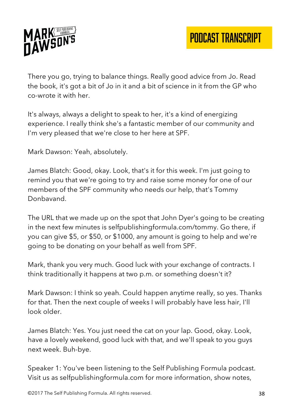

There you go, trying to balance things. Really good advice from Jo. Read the book, it's got a bit of Jo in it and a bit of science in it from the GP who co-wrote it with her.

It's always, always a delight to speak to her, it's a kind of energizing experience. I really think she's a fantastic member of our community and I'm very pleased that we're close to her here at SPF.

Mark Dawson: Yeah, absolutely.

James Blatch: Good, okay. Look, that's it for this week. I'm just going to remind you that we're going to try and raise some money for one of our members of the SPF community who needs our help, that's Tommy Donbavand.

The URL that we made up on the spot that John Dyer's going to be creating in the next few minutes is selfpublishingformula.com/tommy. Go there, if you can give \$5, or \$50, or \$1000, any amount is going to help and we're going to be donating on your behalf as well from SPF.

Mark, thank you very much. Good luck with your exchange of contracts. I think traditionally it happens at two p.m. or something doesn't it?

Mark Dawson: I think so yeah. Could happen anytime really, so yes. Thanks for that. Then the next couple of weeks I will probably have less hair, I'll look older.

James Blatch: Yes. You just need the cat on your lap. Good, okay. Look, have a lovely weekend, good luck with that, and we'll speak to you guys next week. Buh-bye.

Speaker 1: You've been listening to the Self Publishing Formula podcast. Visit us as selfpublishingformula.com for more information, show notes,